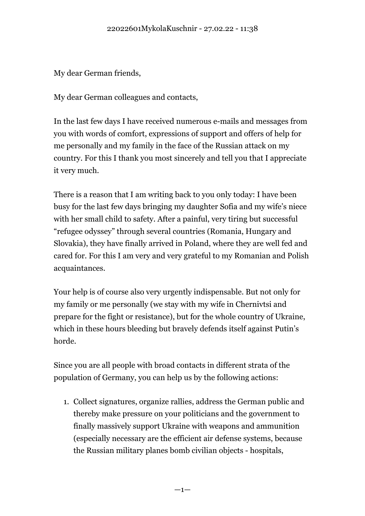My dear German friends,

My dear German colleagues and contacts,

In the last few days I have received numerous e-mails and messages from you with words of comfort, expressions of support and offers of help for me personally and my family in the face of the Russian attack on my country. For this I thank you most sincerely and tell you that I appreciate it very much.

There is a reason that I am writing back to you only today: I have been busy for the last few days bringing my daughter Sofia and my wife's niece with her small child to safety. After a painful, very tiring but successful "refugee odyssey" through several countries (Romania, Hungary and Slovakia), they have finally arrived in Poland, where they are well fed and cared for. For this I am very and very grateful to my Romanian and Polish acquaintances.

Your help is of course also very urgently indispensable. But not only for my family or me personally (we stay with my wife in Chernivtsi and prepare for the fight or resistance), but for the whole country of Ukraine, which in these hours bleeding but bravely defends itself against Putin's horde.

Since you are all people with broad contacts in different strata of the population of Germany, you can help us by the following actions:

1. Collect signatures, organize rallies, address the German public and thereby make pressure on your politicians and the government to finally massively support Ukraine with weapons and ammunition (especially necessary are the efficient air defense systems, because the Russian military planes bomb civilian objects - hospitals,

 $-1-$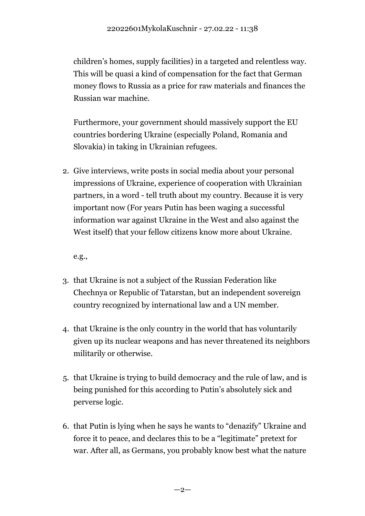children's homes, supply facilities) in a targeted and relentless way. This will be quasi a kind of compensation for the fact that German money flows to Russia as a price for raw materials and finances the Russian war machine.

Furthermore, your government should massively support the EU countries bordering Ukraine (especially Poland, Romania and Slovakia) in taking in Ukrainian refugees.

2. Give interviews, write posts in social media about your personal impressions of Ukraine, experience of cooperation with Ukrainian partners, in a word - tell truth about my country. Because it is very important now (For years Putin has been waging a successful information war against Ukraine in the West and also against the West itself) that your fellow citizens know more about Ukraine.

e.g.,

- 3. that Ukraine is not a subject of the Russian Federation like Chechnya or Republic of Tatarstan, but an independent sovereign country recognized by international law and a UN member.
- 4. that Ukraine is the only country in the world that has voluntarily given up its nuclear weapons and has never threatened its neighbors militarily or otherwise.
- 5. that Ukraine is trying to build democracy and the rule of law, and is being punished for this according to Putin's absolutely sick and perverse logic.
- 6. that Putin is lying when he says he wants to "denazify" Ukraine and force it to peace, and declares this to be a "legitimate" pretext for war. After all, as Germans, you probably know best what the nature